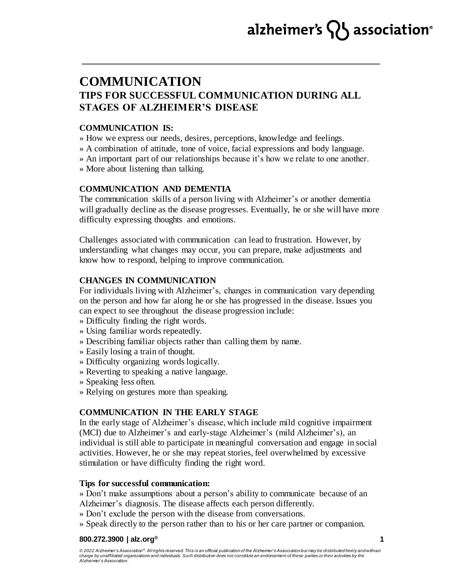# alzheimer's  $\{ \}$  association<sup>®</sup>

# **COMMUNICATION TIPS FOR SUCCESSFUL COMMUNICATION DURING ALL STAGES OF ALZHEIMER'S DISEASE**

# **COMMUNICATION IS:**

» How we express our needs, desires, perceptions, knowledge and feelings.

» A combination of attitude, tone of voice, facial expressions and body language.

» An important part of our relationships because it's how we relate to one another.

» More about listening than talking.

### **COMMUNICATION AND DEMENTIA**

The communication skills of a person living with Alzheimer's or another dementia will gradually decline as the disease progresses. Eventually, he or she will have more difficulty expressing thoughts and emotions.

Challenges associated with communication can lead to frustration. However, by understanding what changes may occur, you can prepare, make adjustments and know how to respond, helping to improve communication.

### **CHANGES IN COMMUNICATION**

For individuals living with Alzheimer's, changes in communication vary depending on the person and how far along he or she has progressed in the disease. Issues you can expect to see throughout the disease progression include:

- » Difficulty finding the right words.
- » Using familiar words repeatedly.
- » Describing familiar objects rather than calling them by name.
- » Easily losing a train of thought.
- » Difficulty organizing words logically.
- » Reverting to speaking a native language.
- » Speaking less often.
- » Relying on gestures more than speaking.

# **COMMUNICATION IN THE EARLY STAGE**

In the early stage of Alzheimer's disease, which include mild cognitive impairment (MCI) due to Alzheimer's and early-stage Alzheimer's (mild Alzheimer's), an individual is still able to participate in meaningful conversation and engage in social activities. However, he or she may repeat stories, feel overwhelmed by excessive stimulation or have difficulty finding the right word.

### **Tips for successful communication:**

» Don't make assumptions about a person's ability to communicate because of an Alzheimer's diagnosis. The disease affects each person differently.

- » Don't exclude the person with the disease from conversations.
- » Speak directly to the person rather than to his or her care partner or companion.

#### **800.272.3900 | alz.org®**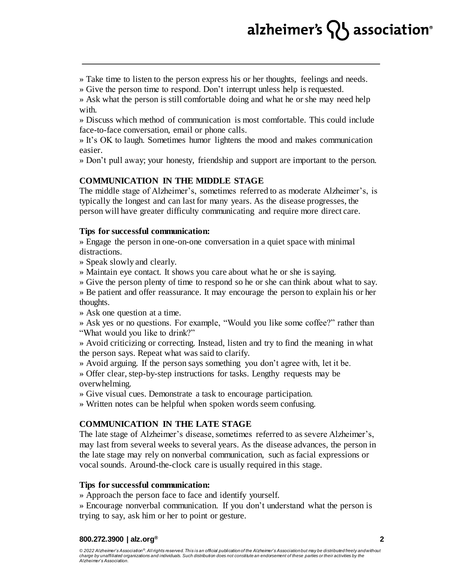# alzheimer's  $\{ \}$  association<sup>®</sup>

» Take time to listen to the person express his or her thoughts, feelings and needs.

» Give the person time to respond. Don't interrupt unless help is requested.

» Ask what the person is still comfortable doing and what he or she may need help with.

» Discuss which method of communication is most comfortable. This could include face-to-face conversation, email or phone calls.

» It's OK to laugh. Sometimes humor lightens the mood and makes communication easier.

» Don't pull away; your honesty, friendship and support are important to the person.

### **COMMUNICATION IN THE MIDDLE STAGE**

The middle stage of Alzheimer's, sometimes referred to as moderate Alzheimer's, is typically the longest and can last for many years. As the disease progresses, the person will have greater difficulty communicating and require more direct care.

### **Tips for successful communication:**

» Engage the person in one-on-one conversation in a quiet space with minimal distractions.

» Speak slowly and clearly.

» Maintain eye contact. It shows you care about what he or she is saying.

» Give the person plenty of time to respond so he or she can think about what to say.

» Be patient and offer reassurance. It may encourage the person to explain his or her thoughts.

» Ask one question at a time.

» Ask yes or no questions. For example, "Would you like some coffee?" rather than "What would you like to drink?"

» Avoid criticizing or correcting. Instead, listen and try to find the meaning in what the person says. Repeat what was said to clarify.

» Avoid arguing. If the person says something you don't agree with, let it be.

» Offer clear, step-by-step instructions for tasks. Lengthy requests may be overwhelming.

» Give visual cues. Demonstrate a task to encourage participation.

» Written notes can be helpful when spoken words seem confusing.

# **COMMUNICATION IN THE LATE STAGE**

The late stage of Alzheimer's disease, sometimes referred to as severe Alzheimer's, may last from several weeks to several years. As the disease advances, the person in the late stage may rely on nonverbal communication, such as facial expressions or vocal sounds. Around-the-clock care is usually required in this stage.

### **Tips for successful communication:**

» Approach the person face to face and identify yourself.

» Encourage nonverbal communication. If you don't understand what the person is trying to say, ask him or her to point or gesture.

#### **800.272.3900 | alz.org®**